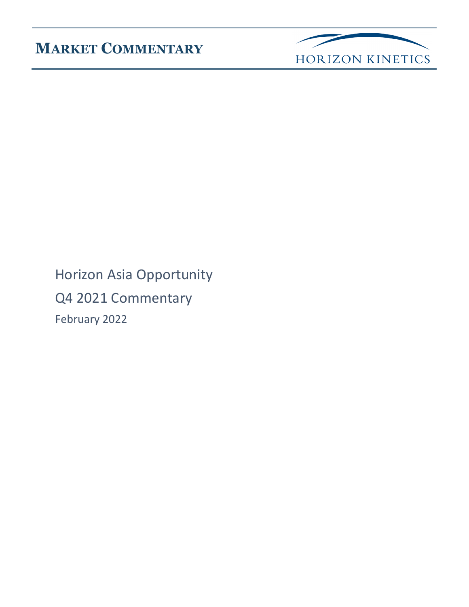

Horizon Asia Opportunity Q4 2021 Commentary February 2022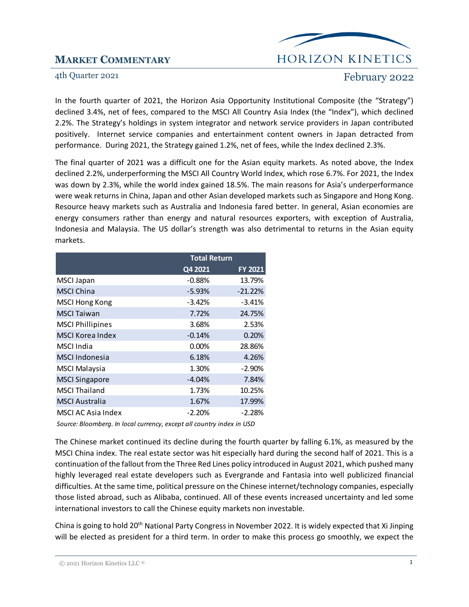## HORIZON KINETICS

### 4th Quarter 2021 February 2022

In the fourth quarter of 2021, the Horizon Asia Opportunity Institutional Composite (the "Strategy") declined 3.4%, net of fees, compared to the MSCI All Country Asia Index (the "Index"), which declined 2.2%. The Strategy's holdings in system integrator and network service providers in Japan contributed positively. Internet service companies and entertainment content owners in Japan detracted from performance. During 2021, the Strategy gained 1.2%, net of fees, while the Index declined 2.3%.

The final quarter of 2021 was a difficult one for the Asian equity markets. As noted above, the Index declined 2.2%, underperforming the MSCI All Country World Index, which rose 6.7%. For 2021, the Index was down by 2.3%, while the world index gained 18.5%. The main reasons for Asia's underperformance were weak returns in China, Japan and other Asian developed markets such as Singapore and Hong Kong. Resource heavy markets such as Australia and Indonesia fared better. In general, Asian economies are energy consumers rather than energy and natural resources exporters, with exception of Australia, Indonesia and Malaysia. The US dollar's strength was also detrimental to returns in the Asian equity markets.

|                         | <b>Total Return</b> |           |
|-------------------------|---------------------|-----------|
|                         | Q4 2021             | FY 2021   |
| <b>MSCI Japan</b>       | $-0.88%$            | 13.79%    |
| <b>MSCI China</b>       | $-5.93%$            | $-21.22%$ |
| <b>MSCI Hong Kong</b>   | $-3.42%$            | $-3.41%$  |
| <b>MSCI Taiwan</b>      | 7.72%               | 24.75%    |
| <b>MSCI Phillipines</b> | 3.68%               | 2.53%     |
| <b>MSCI Korea Index</b> | $-0.14%$            | 0.20%     |
| <b>MSCI</b> India       | 0.00%               | 28.86%    |
| <b>MSCI Indonesia</b>   | 6.18%               | 4.26%     |
| <b>MSCI Malaysia</b>    | 1.30%               | $-2.90%$  |
| <b>MSCI Singapore</b>   | $-4.04%$            | 7.84%     |
| <b>MSCI Thailand</b>    | 1.73%               | 10.25%    |
| <b>MSCI Australia</b>   | 1.67%               | 17.99%    |
| MSCI AC Asia Index      | $-2.20%$            | $-2.28%$  |

*Source: Bloomberg. In local currency, except all country index in USD*

The Chinese market continued its decline during the fourth quarter by falling 6.1%, as measured by the MSCI China index. The real estate sector was hit especially hard during the second half of 2021. This is a continuation of the fallout from the Three Red Lines policy introduced in August 2021, which pushed many highly leveraged real estate developers such as Evergrande and Fantasia into well publicized financial difficulties. At the same time, political pressure on the Chinese internet/technology companies, especially those listed abroad, such as Alibaba, continued. All of these events increased uncertainty and led some international investors to call the Chinese equity markets non investable.

China is going to hold 20<sup>th</sup> National Party Congress in November 2022. It is widely expected that Xi Jinping will be elected as president for a third term. In order to make this process go smoothly, we expect the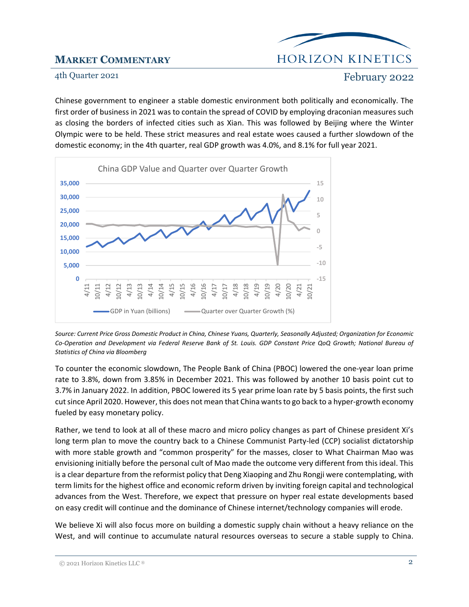## **HORIZON KINETICS**

### 4th Quarter 2021 February 2022

Chinese government to engineer a stable domestic environment both politically and economically. The first order of business in 2021 was to contain the spread of COVID by employing draconian measures such as closing the borders of infected cities such as Xian. This was followed by Beijing where the Winter Olympic were to be held. These strict measures and real estate woes caused a further slowdown of the domestic economy; in the 4th quarter, real GDP growth was 4.0%, and 8.1% for full year 2021.



*Source: Current Price Gross Domestic Product in China, Chinese Yuans, Quarterly, Seasonally Adjusted; Organization for Economic Co-Operation and Development via Federal Reserve Bank of St. Louis. GDP Constant Price QoQ Growth; National Bureau of Statistics of China via Bloomberg*

To counter the economic slowdown, The People Bank of China (PBOC) lowered the one-year loan prime rate to 3.8%, down from 3.85% in December 2021. This was followed by another 10 basis point cut to 3.7% in January 2022. In addition, PBOC lowered its 5 year prime loan rate by 5 basis points, the first such cut since April 2020. However, this does not mean that China wants to go back to a hyper-growth economy fueled by easy monetary policy.

Rather, we tend to look at all of these macro and micro policy changes as part of Chinese president Xi's long term plan to move the country back to a Chinese Communist Party-led (CCP) socialist dictatorship with more stable growth and "common prosperity" for the masses, closer to What Chairman Mao was envisioning initially before the personal cult of Mao made the outcome very different from this ideal. This is a clear departure from the reformist policy that Deng Xiaoping and Zhu Rongji were contemplating, with term limits for the highest office and economic reform driven by inviting foreign capital and technological advances from the West. Therefore, we expect that pressure on hyper real estate developments based on easy credit will continue and the dominance of Chinese internet/technology companies will erode.

We believe Xi will also focus more on building a domestic supply chain without a heavy reliance on the West, and will continue to accumulate natural resources overseas to secure a stable supply to China.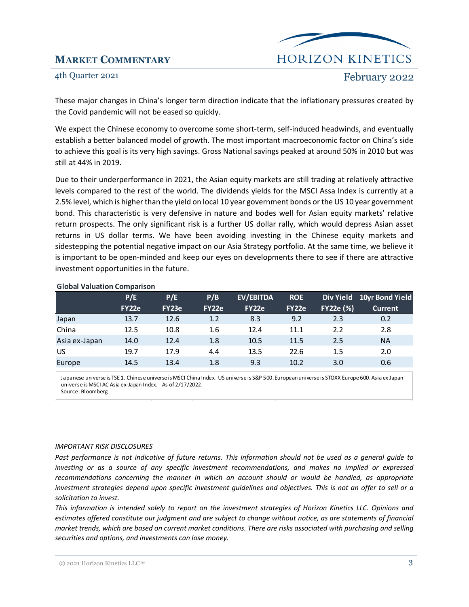# **HORIZON KINETICS**

### 4th Quarter 2021 **February 2022**

These major changes in China's longer term direction indicate that the inflationary pressures created by the Covid pandemic will not be eased so quickly.

We expect the Chinese economy to overcome some short-term, self-induced headwinds, and eventually establish a better balanced model of growth. The most important macroeconomic factor on China's side to achieve this goal is its very high savings. Gross National savings peaked at around 50% in 2010 but was still at 44% in 2019.

Due to their underperformance in 2021, the Asian equity markets are still trading at relatively attractive levels compared to the rest of the world. The dividends yields for the MSCI Assa Index is currently at a 2.5% level, which is higher than the yield on local 10 year government bonds or the US 10 year government bond. This characteristic is very defensive in nature and bodes well for Asian equity markets' relative return prospects. The only significant risk is a further US dollar rally, which would depress Asian asset returns in US dollar terms. We have been avoiding investing in the Chinese equity markets and sidestepping the potential negative impact on our Asia Strategy portfolio. At the same time, we believe it is important to be open-minded and keep our eyes on developments there to see if there are attractive investment opportunities in the future.

|               | P/E          | P/E   | P/B   | <b>EV/EBITDA</b> | <b>ROE</b>   |                  | Div Yield 10yr Bond Yield |
|---------------|--------------|-------|-------|------------------|--------------|------------------|---------------------------|
|               | <b>FY22e</b> | FY23e | FY22e | <b>FY22e</b>     | <b>FY22e</b> | <b>FY22e (%)</b> | <b>Current</b>            |
| Japan         | 13.7         | 12.6  | 1.2   | 8.3              | 9.2          | 2.3              | 0.2                       |
| China         | 12.5         | 10.8  | 1.6   | 12.4             | 11.1         | 2.2              | 2.8                       |
| Asia ex-Japan | 14.0         | 12.4  | 1.8   | 10.5             | 11.5         | 2.5              | <b>NA</b>                 |
| US            | 19.7         | 17.9  | 4.4   | 13.5             | 22.6         | 1.5              | 2.0                       |
| Europe        | 14.5         | 13.4  | 1.8   | 9.3              | 10.2         | 3.0              | 0.6                       |

### **Global Valuation Comparison**

Japanese universe is TSE 1. Chinese universe is MSCI China Index. US universe is S&P 500. European universe is STOXX Europe 600. Asia ex Japan universe is MSCI AC Asia ex-Japan Index. As of 2/17/2022. Source: Bloomberg

### *IMPORTANT RISK DISCLOSURES*

*Past performance is not indicative of future returns. This information should not be used as a general guide to investing or as a source of any specific investment recommendations, and makes no implied or expressed recommendations concerning the manner in which an account should or would be handled, as appropriate investment strategies depend upon specific investment guidelines and objectives. This is not an offer to sell or a solicitation to invest.* 

*This information is intended solely to report on the investment strategies of Horizon Kinetics LLC. Opinions and estimates offered constitute our judgment and are subject to change without notice, as are statements of financial market trends, which are based on current market conditions. There are risks associated with purchasing and selling securities and options, and investments can lose money.*